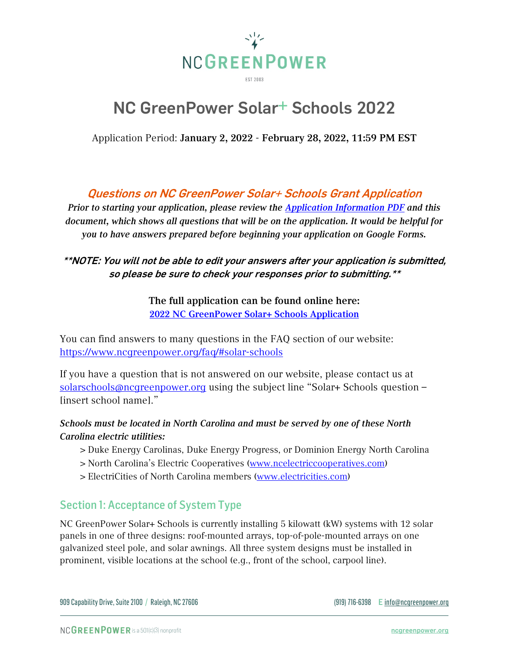

# NC GreenPower Solar+ Schools 2022

Application Period: January 2, 2022 - February 28, 2022, 11:59 PM EST

# Questions on NC GreenPower Solar+ Schools Grant Application

*Prior to starting your application, please review the [Application Information PDF](https://www.ncgreenpower.org/wp-content/uploads/2021/12/2022-NC-GreenPower-Solar-Schools-Application-Information.pdf) and this document, which shows all questions that will be on the application. It would be helpful for you to have answers prepared before beginning your application on Google Forms.*

#### \*\*NOTE: You will not be able to edit your answers after your application is submitted, so please be sure to check your responses prior to submitting.\*\*

The full application can be found online here: [2022 NC GreenPower Solar+ Schools Application](https://forms.gle/VcMGAVYEvikpUmSx9)

You can find answers to many questions in the FAQ section of our website: <https://www.ncgreenpower.org/faq/#solar-schools>

If you have a question that is not answered on our website, please contact us at [solarschools@ncgreenpower.org](mailto:solarschools@ncgreenpower.org?subject=Solar+%20Schools%20question%20%E2%80%93%20%5Binsert%20school%20name%5D) using the subject line "Solar+ Schools question – [insert school name]."

#### *Schools must be located in North Carolina and must be served by one of these North Carolina electric utilities:*

- > Duke Energy Carolinas, Duke Energy Progress, or Dominion Energy North Carolina
- > North Carolina's Electric Cooperatives [\(www.ncelectriccooperatives.com\)](http://www.ncelectriccooperatives.com/)
- > ElectriCities of North Carolina members [\(www.electricities.com\)](http://www.electricities.com/)

### Section 1: Acceptance of System Type

NC GreenPower Solar+ Schools is currently installing 5 kilowatt (kW) systems with 12 solar panels in one of three designs: roof-mounted arrays, top-of-pole-mounted arrays on one galvanized steel pole, and solar awnings. All three system designs must be installed in prominent, visible locations at the school (e.g., front of the school, carpool line).

\_\_\_\_\_\_\_\_\_\_\_\_\_\_\_\_\_\_\_\_\_\_\_\_\_\_\_\_\_\_\_\_\_\_\_\_\_\_\_\_\_\_\_\_\_\_\_\_\_\_\_\_\_\_\_\_\_\_\_\_\_\_\_\_\_\_\_\_\_\_\_\_\_\_\_\_\_\_\_\_\_\_\_\_\_\_\_\_\_\_\_\_\_\_\_\_\_\_\_\_\_\_\_\_\_\_\_\_\_\_\_\_\_\_\_\_\_\_\_\_\_\_\_\_\_\_\_\_\_\_\_\_\_

909 Capability Drive, Suite 2100 / Raleigh, NC 27606 (919) 716-6398 E [info@ncgreenpower.org](mailto:info@ncgreenpower.org)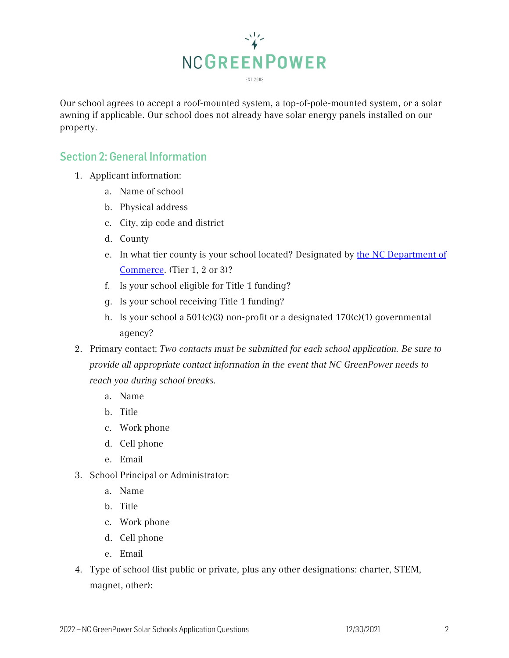

Our school agrees to accept a roof-mounted system, a top-of-pole-mounted system, or a solar awning if applicable. Our school does not already have solar energy panels installed on our property.

# Section 2: General Information

- 1. Applicant information:
	- a. Name of school
	- b. Physical address
	- c. City, zip code and district
	- d. County
	- e. In what tier county is your school located? Designated by [the NC Department of](http://www.nccommerce.com/research-publications/incentive-reports/county-tier-designations)  [Commerce.](http://www.nccommerce.com/research-publications/incentive-reports/county-tier-designations) (Tier 1, 2 or 3)?
	- f. Is your school eligible for Title 1 funding?
	- g. Is your school receiving Title 1 funding?
	- h. Is your school a 501(c)(3) non-profit or a designated 170(c)(1) governmental agency?
- 2. Primary contact: *Two contacts must be submitted for each school application. Be sure to provide all appropriate contact information in the event that NC GreenPower needs to reach you during school breaks.*
	- a. Name
	- b. Title
	- c. Work phone
	- d. Cell phone
	- e. Email
- 3. School Principal or Administrator:
	- a. Name
	- b. Title
	- c. Work phone
	- d. Cell phone
	- e. Email
- 4. Type of school (list public or private, plus any other designations: charter, STEM, magnet, other):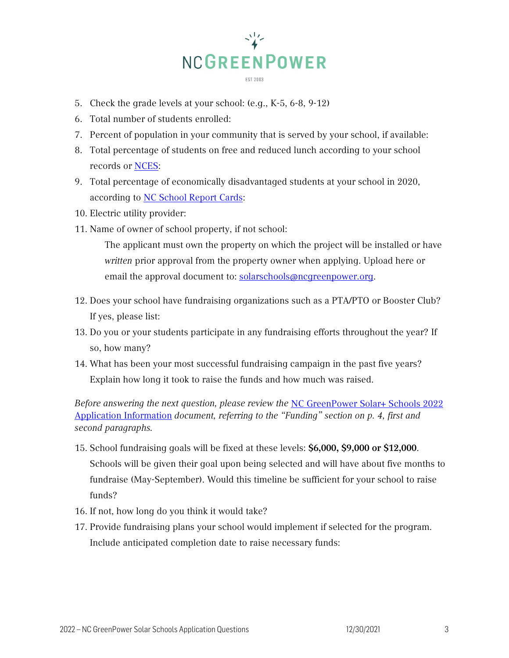

- 5. Check the grade levels at your school: (e.g., K-5, 6-8, 9-12)
- 6. Total number of students enrolled:
- 7. Percent of population in your community that is served by your school, if available:
- 8. Total percentage of students on free and reduced lunch according to your school records or [NCES:](https://nces.ed.gov/ccd/schoolsearch/index.asp?)
- 9. Total percentage of economically disadvantaged students at your school in 2020, according to [NC School Report Cards:](https://ncreports.ondemand.sas.com/src/)
- 10. Electric utility provider:
- 11. Name of owner of school property, if not school:

The applicant must own the property on which the project will be installed or have *written* prior approval from the property owner when applying. Upload here or email the approval document to: [solarschools@ncgreenpower.org.](mailto:solarschools@ncgreenpower.org?subject=Approval%20from%20property%20owner)

- 12. Does your school have fundraising organizations such as a PTA/PTO or Booster Club? If yes, please list:
- 13. Do you or your students participate in any fundraising efforts throughout the year? If so, how many?
- 14. What has been your most successful fundraising campaign in the past five years? Explain how long it took to raise the funds and how much was raised.

*Before answering the next question, please review the* [NC GreenPower Solar+](https://www.ncgreenpower.org/wp-content/uploads/2021/12/2022-NC-GreenPower-Solar-Schools-Application-Information.pdf) Schools 2022 [Application Information](https://www.ncgreenpower.org/wp-content/uploads/2021/12/2022-NC-GreenPower-Solar-Schools-Application-Information.pdf) *document, referring to the "Funding" section on p. 4, first and second paragraphs.*

- 15. School fundraising goals will be fixed at these levels: \$6,000, \$9,000 or \$12,000. Schools will be given their goal upon being selected and will have about five months to fundraise (May-September). Would this timeline be sufficient for your school to raise funds?
- 16. If not, how long do you think it would take?
- 17. Provide fundraising plans your school would implement if selected for the program. Include anticipated completion date to raise necessary funds: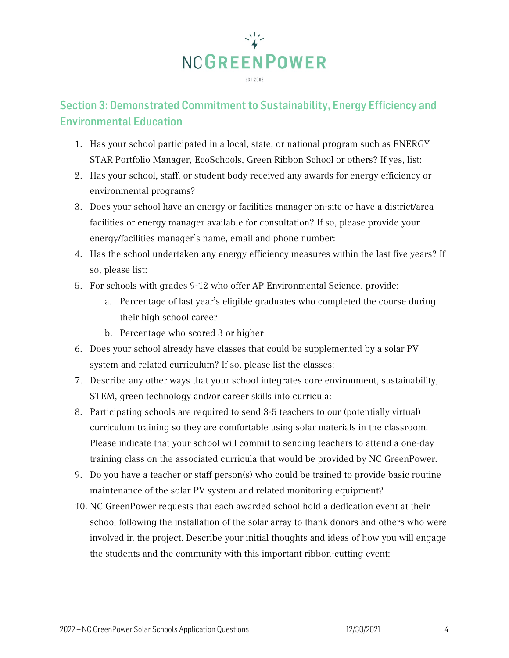

# Section 3: Demonstrated Commitment to Sustainability, Energy Efficiency and Environmental Education

- 1. Has your school participated in a local, state, or national program such as ENERGY STAR Portfolio Manager, EcoSchools, Green Ribbon School or others? If yes, list:
- 2. Has your school, staff, or student body received any awards for energy efficiency or environmental programs?
- 3. Does your school have an energy or facilities manager on-site or have a district/area facilities or energy manager available for consultation? If so, please provide your energy/facilities manager's name, email and phone number:
- 4. Has the school undertaken any energy efficiency measures within the last five years? If so, please list:
- 5. For schools with grades 9-12 who offer AP Environmental Science, provide:
	- a. Percentage of last year's eligible graduates who completed the course during their high school career
	- b. Percentage who scored 3 or higher
- 6. Does your school already have classes that could be supplemented by a solar PV system and related curriculum? If so, please list the classes:
- 7. Describe any other ways that your school integrates core environment, sustainability, STEM, green technology and/or career skills into curricula:
- 8. Participating schools are required to send 3-5 teachers to our (potentially virtual) curriculum training so they are comfortable using solar materials in the classroom. Please indicate that your school will commit to sending teachers to attend a one-day training class on the associated curricula that would be provided by NC GreenPower.
- 9. Do you have a teacher or staff person(s) who could be trained to provide basic routine maintenance of the solar PV system and related monitoring equipment?
- 10. NC GreenPower requests that each awarded school hold a dedication event at their school following the installation of the solar array to thank donors and others who were involved in the project. Describe your initial thoughts and ideas of how you will engage the students and the community with this important ribbon-cutting event: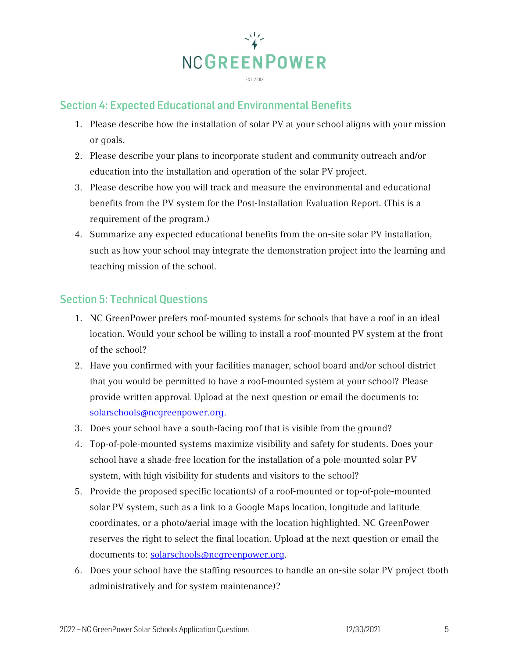

# Section 4: Expected Educational and Environmental Benefits

- 1. Please describe how the installation of solar PV at your school aligns with your mission or goals.
- 2. Please describe your plans to incorporate student and community outreach and/or education into the installation and operation of the solar PV project.
- 3. Please describe how you will track and measure the environmental and educational benefits from the PV system for the Post-Installation Evaluation Report. (This is a requirement of the program.)
- 4. Summarize any expected educational benefits from the on-site solar PV installation, such as how your school may integrate the demonstration project into the learning and teaching mission of the school.

### Section 5: Technical Questions

- 1. NC GreenPower prefers roof-mounted systems for schools that have a roof in an ideal location. Would your school be willing to install a roof-mounted PV system at the front of the school?
- 2. Have you confirmed with your facilities manager, school board and/or school district that you would be permitted to have a roof-mounted system at your school? Please provide written approval. Upload at the next question or email the documents to: [solarschools@ncgreenpower.org.](mailto:solarschools@ncgreenpower.org?subject=Approval%20from%20property%20owner)
- 3. Does your school have a south-facing roof that is visible from the ground?
- 4. Top-of-pole-mounted systems maximize visibility and safety for students. Does your school have a shade-free location for the installation of a pole-mounted solar PV system, with high visibility for students and visitors to the school?
- 5. Provide the proposed specific location(s) of a roof-mounted or top-of-pole-mounted solar PV system, such as a link to a Google Maps location, longitude and latitude coordinates, or a photo/aerial image with the location highlighted. NC GreenPower reserves the right to select the final location. Upload at the next question or email the documents to: [solarschools@ncgreenpower.org.](mailto:solarschools@ncgreenpower.org?subject=Approval%20from%20property%20owner)
- 6. Does your school have the staffing resources to handle an on-site solar PV project (both administratively and for system maintenance)?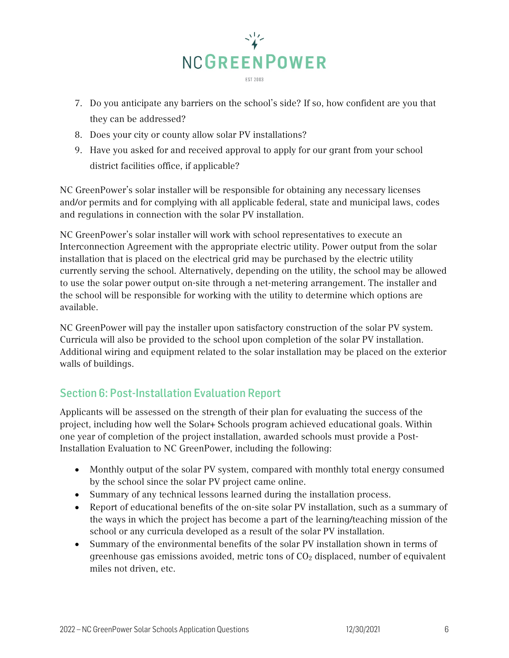

- 7. Do you anticipate any barriers on the school's side? If so, how confident are you that they can be addressed?
- 8. Does your city or county allow solar PV installations?
- 9. Have you asked for and received approval to apply for our grant from your school district facilities office, if applicable?

NC GreenPower's solar installer will be responsible for obtaining any necessary licenses and/or permits and for complying with all applicable federal, state and municipal laws, codes and regulations in connection with the solar PV installation.

NC GreenPower's solar installer will work with school representatives to execute an Interconnection Agreement with the appropriate electric utility. Power output from the solar installation that is placed on the electrical grid may be purchased by the electric utility currently serving the school. Alternatively, depending on the utility, the school may be allowed to use the solar power output on-site through a net-metering arrangement. The installer and the school will be responsible for working with the utility to determine which options are available.

NC GreenPower will pay the installer upon satisfactory construction of the solar PV system. Curricula will also be provided to the school upon completion of the solar PV installation. Additional wiring and equipment related to the solar installation may be placed on the exterior walls of buildings.

# Section 6: Post-Installation Evaluation Report

Applicants will be assessed on the strength of their plan for evaluating the success of the project, including how well the Solar+ Schools program achieved educational goals. Within one year of completion of the project installation, awarded schools must provide a Post-Installation Evaluation to NC GreenPower, including the following:

- Monthly output of the solar PV system, compared with monthly total energy consumed by the school since the solar PV project came online.
- Summary of any technical lessons learned during the installation process.
- Report of educational benefits of the on-site solar PV installation, such as a summary of the ways in which the project has become a part of the learning/teaching mission of the school or any curricula developed as a result of the solar PV installation.
- Summary of the environmental benefits of the solar PV installation shown in terms of greenhouse gas emissions avoided, metric tons of  $CO<sub>2</sub>$  displaced, number of equivalent miles not driven, etc.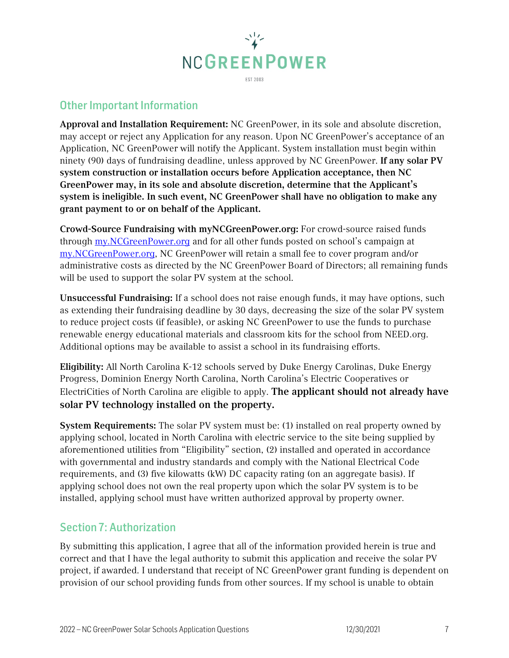

# Other Important Information

Approval and Installation Requirement: NC GreenPower, in its sole and absolute discretion, may accept or reject any Application for any reason. Upon NC GreenPower's acceptance of an Application, NC GreenPower will notify the Applicant. System installation must begin within ninety (90) days of fundraising deadline, unless approved by NC GreenPower. If any solar PV system construction or installation occurs before Application acceptance, then NC GreenPower may, in its sole and absolute discretion, determine that the Applicant's system is ineligible. In such event, NC GreenPower shall have no obligation to make any grant payment to or on behalf of the Applicant.

Crowd-Source Fundraising with myNCGreenPower.org: For crowd-source raised funds through my.NCGreenPower.org and for all other funds posted on school's campaign at my.NCGreenPower.org, NC GreenPower will retain a small fee to cover program and/or administrative costs as directed by the NC GreenPower Board of Directors; all remaining funds will be used to support the solar PV system at the school.

Unsuccessful Fundraising: If a school does not raise enough funds, it may have options, such as extending their fundraising deadline by 30 days, decreasing the size of the solar PV system to reduce project costs (if feasible), or asking NC GreenPower to use the funds to purchase renewable energy educational materials and classroom kits for the school from NEED.org. Additional options may be available to assist a school in its fundraising efforts.

Eligibility: All North Carolina K-12 schools served by Duke Energy Carolinas, Duke Energy Progress, Dominion Energy North Carolina, North Carolina's Electric Cooperatives or ElectriCities of North Carolina are eligible to apply. The applicant should not already have solar PV technology installed on the property.

System Requirements: The solar PV system must be: (1) installed on real property owned by applying school, located in North Carolina with electric service to the site being supplied by aforementioned utilities from "Eligibility" section, (2) installed and operated in accordance with governmental and industry standards and comply with the National Electrical Code requirements, and (3) five kilowatts (kW) DC capacity rating (on an aggregate basis). If applying school does not own the real property upon which the solar PV system is to be installed, applying school must have written authorized approval by property owner.

### Section 7: Authorization

By submitting this application, I agree that all of the information provided herein is true and correct and that I have the legal authority to submit this application and receive the solar PV project, if awarded. I understand that receipt of NC GreenPower grant funding is dependent on provision of our school providing funds from other sources. If my school is unable to obtain